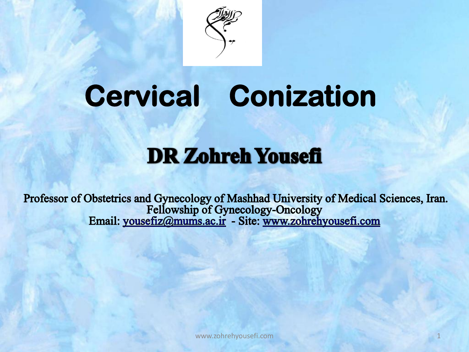

# **Cervical Conization**

### **DR Zohreh Yousefi**

Professor of Obstetrics and Gynecology of Mashhad University of Medical Sciences, Iran.<br>Fellowship of Gynecology-Oncology<br>Email: yousefiz@mums.ac.ir - Site: www.zohrehyousefi.com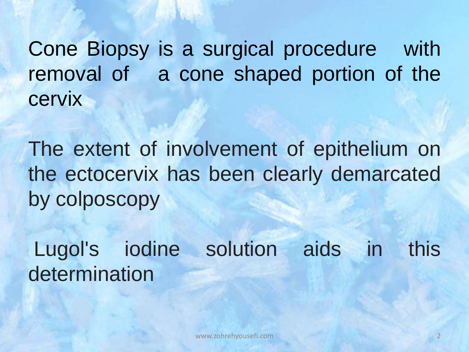Cone Biopsy is a surgical procedure with removal of a cone shaped portion of the cervix

The extent of involvement of epithelium on the ectocervix has been clearly demarcated by colposcopy

Lugol's iodine solution aids in this determination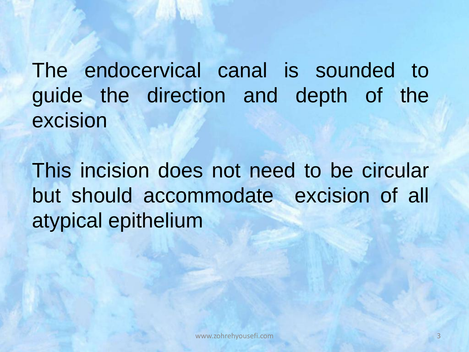The endocervical canal is sounded to guide the direction and depth of the excision

This incision does not need to be circular but should accommodate excision of all atypical epithelium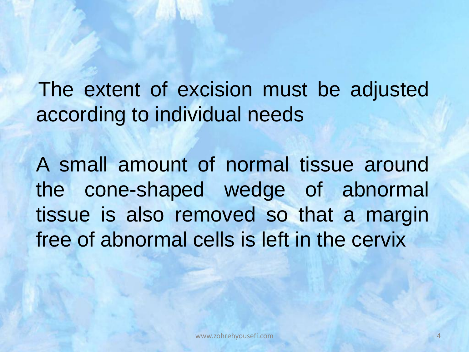The extent of excision must be adjusted according to individual needs

A small amount of normal tissue around the cone-shaped wedge of abnormal tissue is also removed so that a margin free of abnormal cells is left in the cervix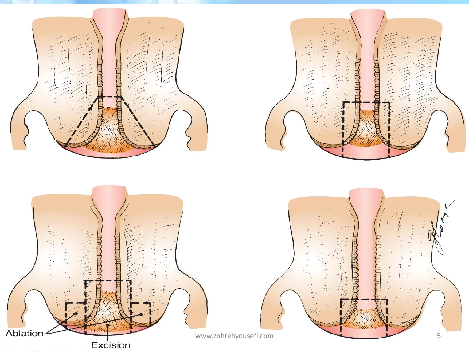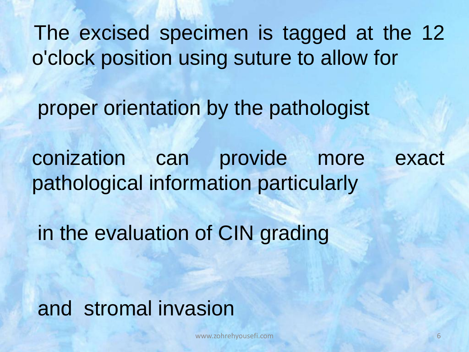The excised specimen is tagged at the 12 o'clock position using suture to allow for

proper orientation by the pathologist

conization can provide more exact pathological information particularly

in the evaluation of CIN grading

and stromal invasion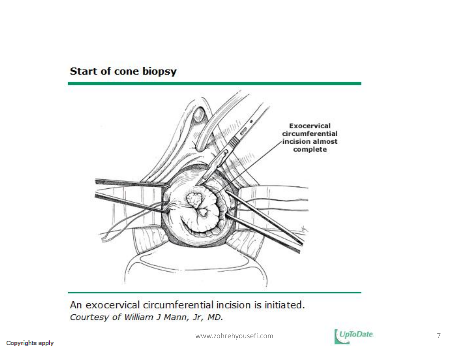#### **Start of cone biopsy**



An exocervical circumferential incision is initiated. Courtesy of William J Mann, Jr, MD.

www.zohrehyousefi.com *UpToDate* 7

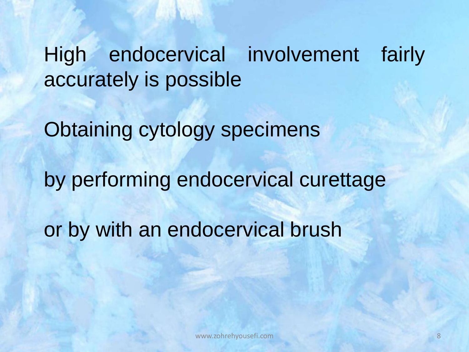### High endocervical involvement fairly accurately is possible

Obtaining cytology specimens by performing endocervical curettage or by with an endocervical brush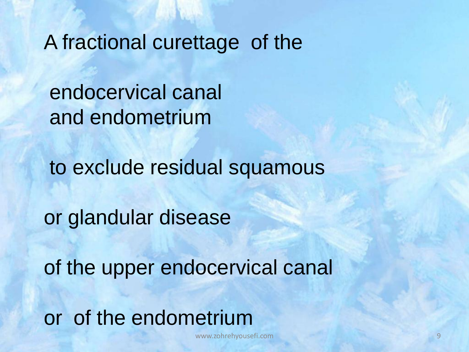A fractional curettage of the

endocervical canal and endometrium

to exclude residual squamous

or glandular disease

of the upper endocervical canal

or of the endometrium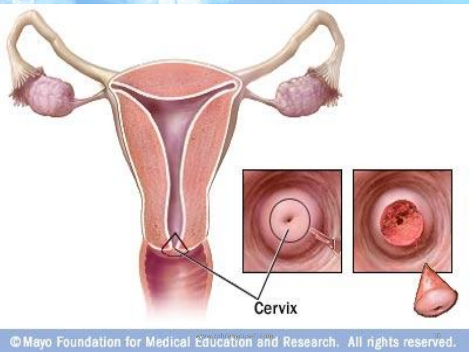

**C Mayo Foundation for Medical Education and Research. All rights reserved.**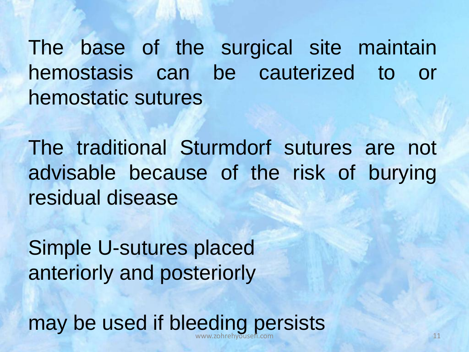The base of the surgical site maintain hemostasis can be cauterized to or hemostatic sutures

The traditional Sturmdorf sutures are not advisable because of the risk of burying residual disease

Simple U-sutures placed anteriorly and posteriorly

may be used if bleeding persists www.zohrehyousefi.com 11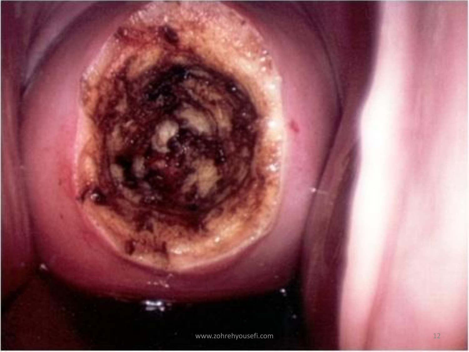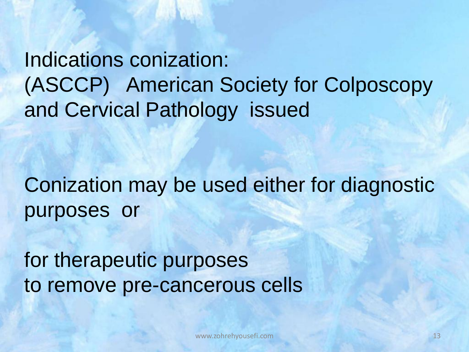Indications conization: (ASCCP) American Society for Colposcopy and Cervical Pathology issued

Conization may be used either for diagnostic purposes or

for therapeutic purposes to remove pre-cancerous cells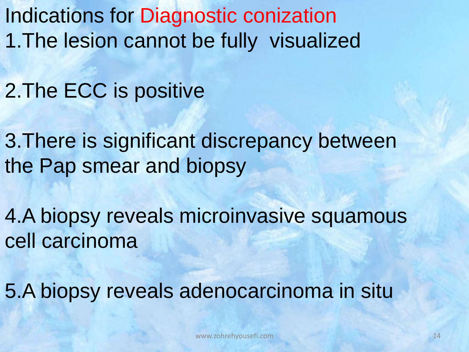Indications for Diagnostic conization 1.The lesion cannot be fully visualized

2.The ECC is positive

3.There is significant discrepancy between the Pap smear and biopsy

4.A biopsy reveals microinvasive squamous cell carcinoma

5.A biopsy reveals adenocarcinoma in situ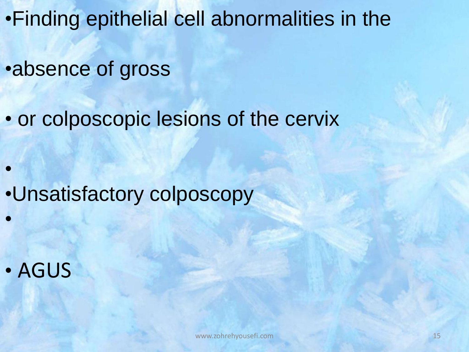•Finding epithelial cell abnormalities in the

•absence of gross

• or colposcopic lesions of the cervix

•Unsatisfactory colposcopy

• AGUS

•

•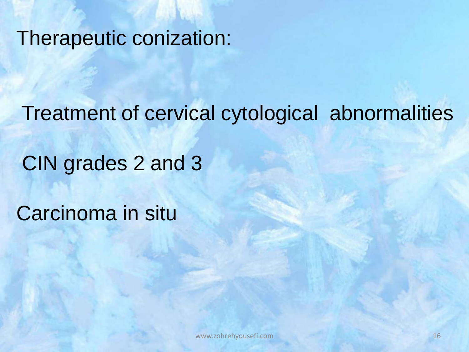Therapeutic conization:

Treatment of cervical cytological abnormalities

CIN grades 2 and 3

Carcinoma in situ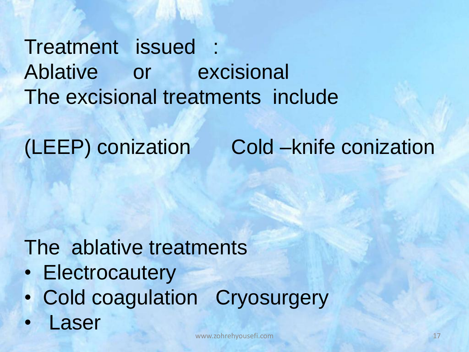Treatment issued : Ablative or excisional The excisional treatments include

(LEEP) conization Cold –knife conization

## The ablative treatments

- Electrocautery
- Cold coagulation Cryosurgery
- Laser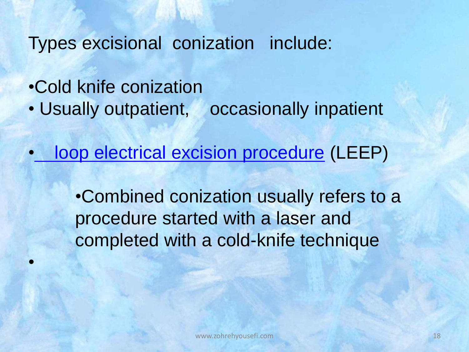Types excisional conization include:

#### •Cold knife conization

•

- Usually outpatient, occasionally inpatient
- • [loop electrical excision procedure](http://en.wikipedia.org/wiki/Loop_electrical_excision_procedure) (LEEP)

•Combined conization usually refers to a procedure started with a laser and completed with a cold-knife technique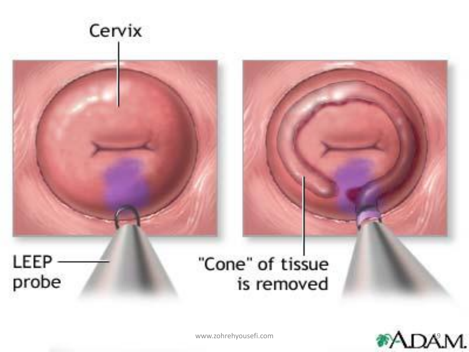

#### LEEP probe

Cervix

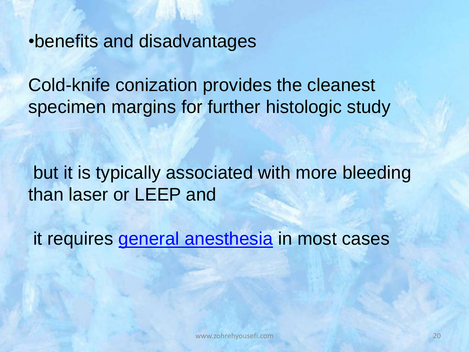•benefits and disadvantages

Cold-knife conization provides the cleanest specimen margins for further histologic study

but it is typically associated with more bleeding than laser or LEEP and

it requires [general anesthesia](http://emedicine.medscape.com/article/1271543-overview) in most cases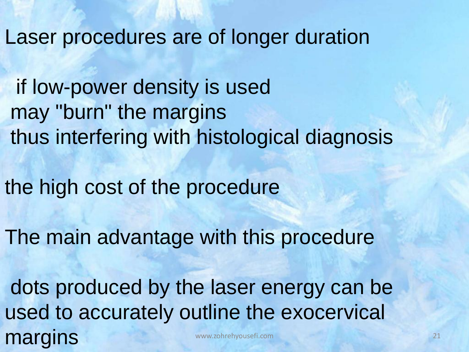Laser procedures are of longer duration

 if low-power density is used may "burn" the margins thus interfering with histological diagnosis

the high cost of the procedure

The main advantage with this procedure

dots produced by the laser energy can be used to accurately outline the exocervical margins www.zohrehyousefi.com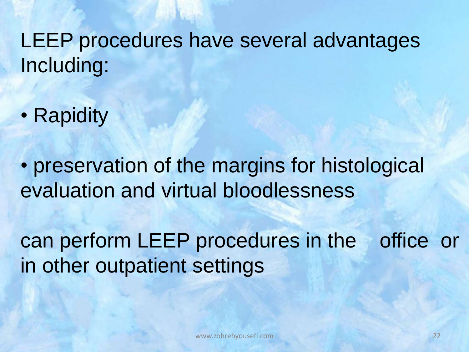## LEEP procedures have several advantages Including:

• Rapidity

• preservation of the margins for histological evaluation and virtual bloodlessness

can perform LEEP procedures in the office or in other outpatient settings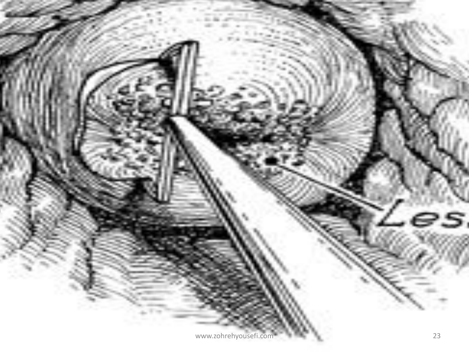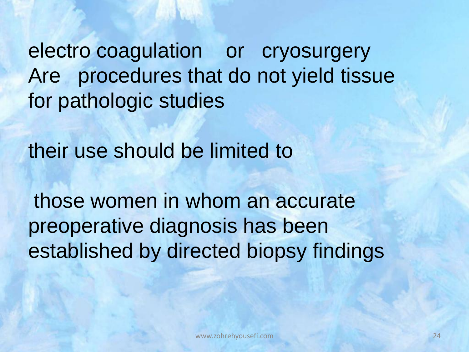electro coagulation or cryosurgery Are procedures that do not yield tissue for pathologic studies

their use should be limited to

those women in whom an accurate preoperative diagnosis has been established by directed biopsy findings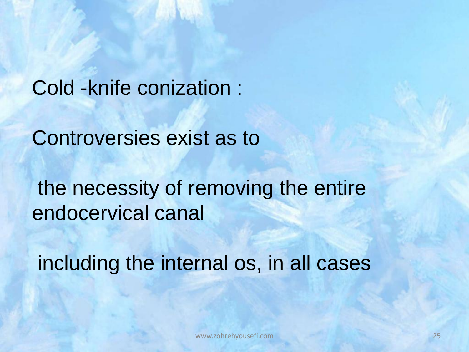Cold -knife conization :

Controversies exist as to

the necessity of removing the entire endocervical canal

including the internal os, in all cases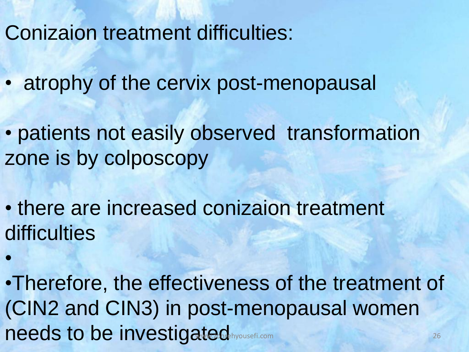Conizaion treatment difficulties:

•

- atrophy of the cervix post-menopausal
- patients not easily observed transformation zone is by colposcopy
- there are increased conizaion treatment difficulties
- •Therefore, the effectiveness of the treatment of (CIN2 and CIN3) in post-menopausal women needs to be investigated hyousefi.com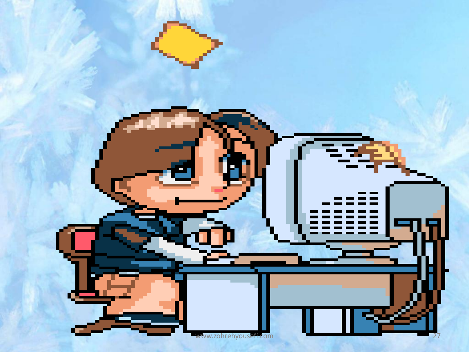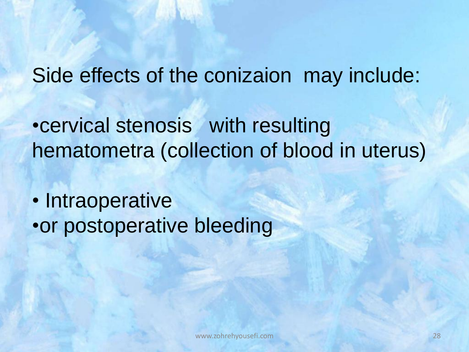### Side effects of the conizaion may include:

•cervical stenosis with resulting hematometra (collection of blood in uterus)

- Intraoperative
- •or postoperative bleeding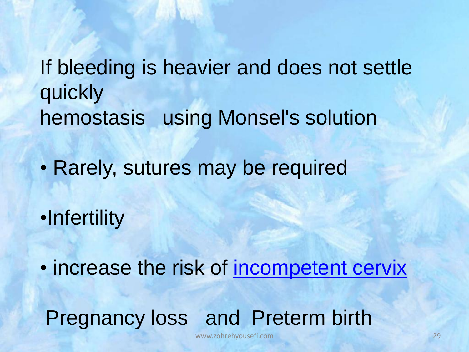## If bleeding is heavier and does not settle quickly hemostasis using Monsel's solution

• Rarely, sutures may be required

•Infertility

• increase the risk of [incompetent cervix](http://en.wikipedia.org/wiki/Incompetent_cervix)

Pregnancy loss and Preterm birth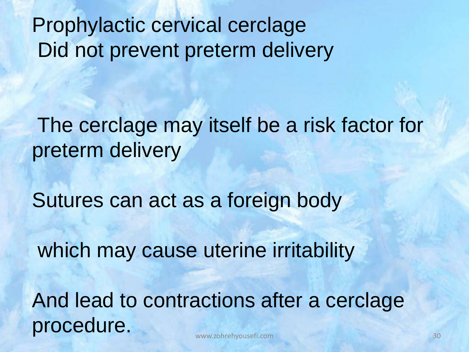Prophylactic cervical cerclage Did not prevent preterm delivery

The cerclage may itself be a risk factor for preterm delivery

Sutures can act as a foreign body

which may cause uterine irritability

And lead to contractions after a cerclage procedure.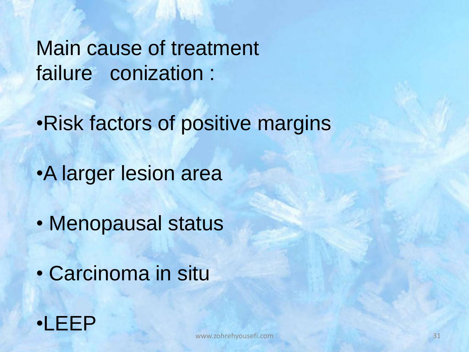Main cause of treatment failure conization :

•Risk factors of positive margins

•A larger lesion area

• Menopausal status

• Carcinoma in situ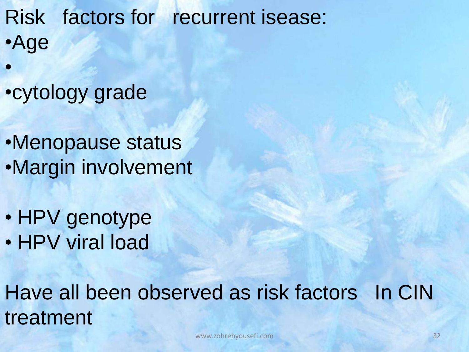- Risk factors for recurrent isease: •Age
- •cytology grade

•

- •Menopause status •Margin involvement
- HPV genotype • HPV viral load

Have all been observed as risk factors In CIN treatment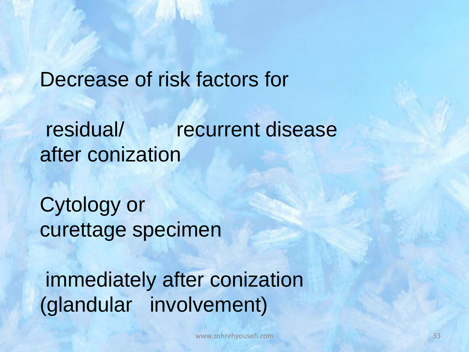#### Decrease of risk factors for

residual/ recurrent disease after conization

Cytology or curettage specimen

immediately after conization (glandular involvement)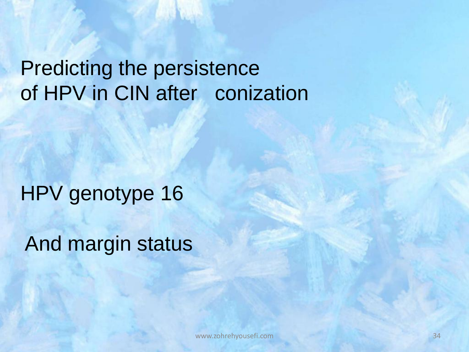### Predicting the persistence of HPV in CIN after conization

#### HPV genotype 16

### And margin status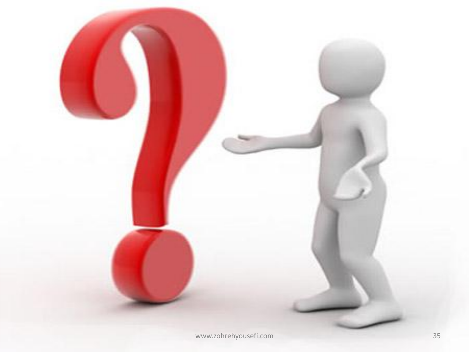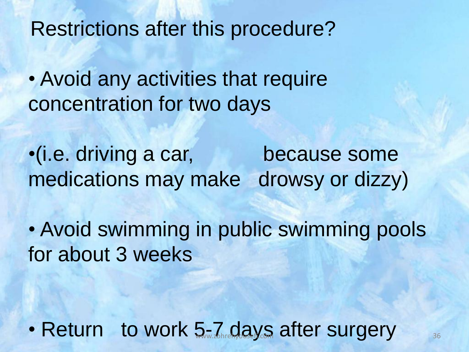Restrictions after this procedure?

• Avoid any activities that require concentration for two days

•(i.e. driving a car, because some medications may make drowsy or dizzy)

• Avoid swimming in public swimming pools for about 3 weeks

• Return to work  $5 - 7$  days after surgery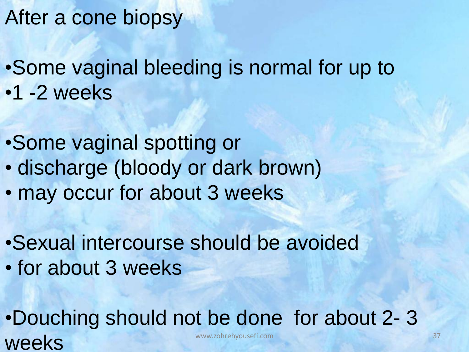### After a cone biopsy

- •Some vaginal bleeding is normal for up to •1 -2 weeks
- •Some vaginal spotting or
- discharge (bloody or dark brown)
- may occur for about 3 weeks
- •Sexual intercourse should be avoided • for about 3 weeks
- •Douching should not be done for about 2- 3 Weeks www.zohrehyousefi.com 37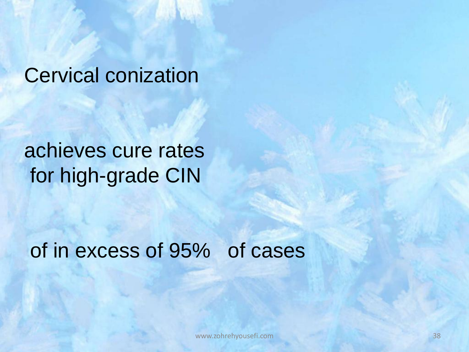#### Cervical conization

## achieves cure rates for high-grade CIN

### of in excess of 95% of cases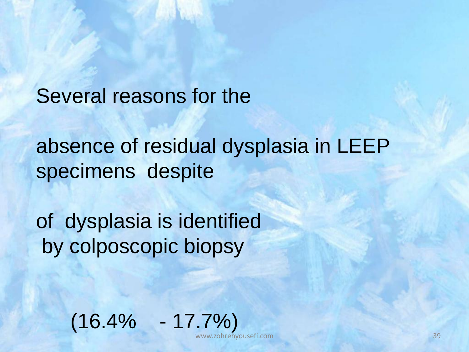Several reasons for the

absence of residual dysplasia in LEEP specimens despite

of dysplasia is identified by colposcopic biopsy

> $(16.4\% - 17.7\%)$ www.zohrehyousefi.com 39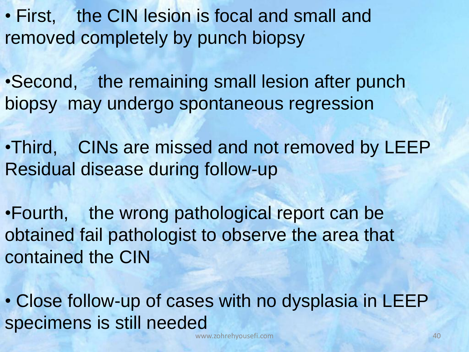• First, the CIN lesion is focal and small and removed completely by punch biopsy

•Second, the remaining small lesion after punch biopsy may undergo spontaneous regression

•Third, CINs are missed and not removed by LEEP Residual disease during follow-up

•Fourth, the wrong pathological report can be obtained fail pathologist to observe the area that contained the CIN

• Close follow-up of cases with no dysplasia in LEEP specimens is still needed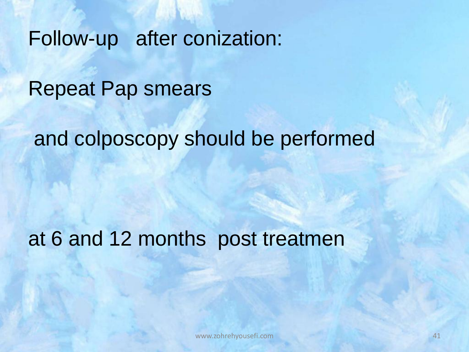Follow-up after conization:

Repeat Pap smears

and colposcopy should be performed

### at 6 and 12 months post treatmen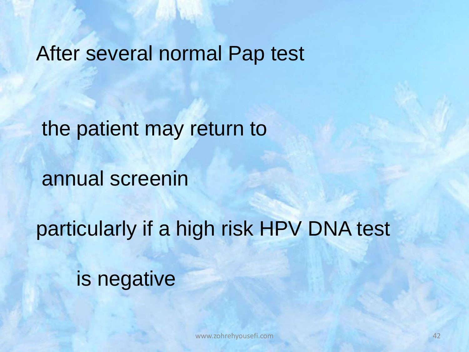#### After several normal Pap test

the patient may return to

annual screenin

particularly if a high risk HPV DNA test

is negative